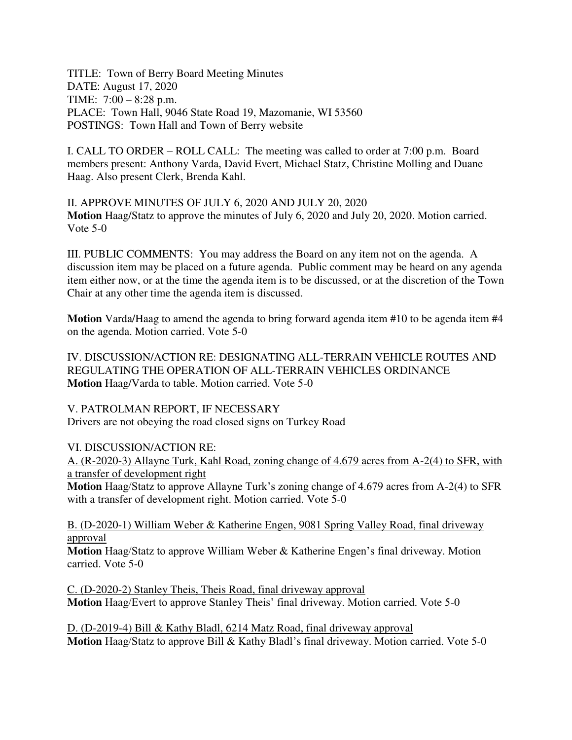TITLE: Town of Berry Board Meeting Minutes DATE: August 17, 2020 TIME: 7:00 – 8:28 p.m. PLACE: Town Hall, 9046 State Road 19, Mazomanie, WI 53560 POSTINGS: Town Hall and Town of Berry website

I. CALL TO ORDER – ROLL CALL: The meeting was called to order at 7:00 p.m. Board members present: Anthony Varda, David Evert, Michael Statz, Christine Molling and Duane Haag. Also present Clerk, Brenda Kahl.

II. APPROVE MINUTES OF JULY 6, 2020 AND JULY 20, 2020 **Motion** Haag/Statz to approve the minutes of July 6, 2020 and July 20, 2020. Motion carried. Vote 5-0

III. PUBLIC COMMENTS: You may address the Board on any item not on the agenda. A discussion item may be placed on a future agenda. Public comment may be heard on any agenda item either now, or at the time the agenda item is to be discussed, or at the discretion of the Town Chair at any other time the agenda item is discussed.

**Motion** Varda/Haag to amend the agenda to bring forward agenda item #10 to be agenda item #4 on the agenda. Motion carried. Vote 5-0

IV. DISCUSSION/ACTION RE: DESIGNATING ALL-TERRAIN VEHICLE ROUTES AND REGULATING THE OPERATION OF ALL-TERRAIN VEHICLES ORDINANCE **Motion** Haag/Varda to table. Motion carried. Vote 5-0

V. PATROLMAN REPORT, IF NECESSARY Drivers are not obeying the road closed signs on Turkey Road

VI. DISCUSSION/ACTION RE:

A. (R-2020-3) Allayne Turk, Kahl Road, zoning change of 4.679 acres from A-2(4) to SFR, with a transfer of development right

**Motion** Haag/Statz to approve Allayne Turk's zoning change of 4.679 acres from A-2(4) to SFR with a transfer of development right. Motion carried. Vote 5-0

B. (D-2020-1) William Weber & Katherine Engen, 9081 Spring Valley Road, final driveway approval

**Motion** Haag/Statz to approve William Weber & Katherine Engen's final driveway. Motion carried. Vote 5-0

C. (D-2020-2) Stanley Theis, Theis Road, final driveway approval **Motion** Haag/Evert to approve Stanley Theis' final driveway. Motion carried. Vote 5-0

D. (D-2019-4) Bill & Kathy Bladl, 6214 Matz Road, final driveway approval **Motion** Haag/Statz to approve Bill & Kathy Bladl's final driveway. Motion carried. Vote 5-0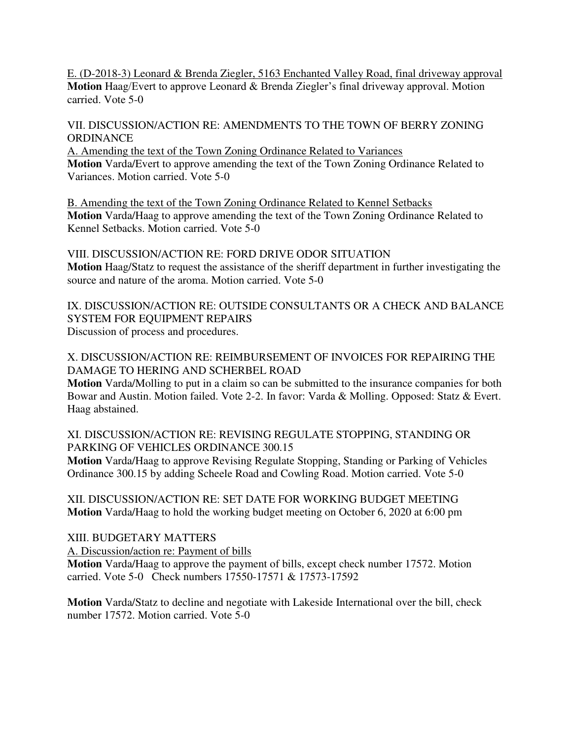E. (D-2018-3) Leonard & Brenda Ziegler, 5163 Enchanted Valley Road, final driveway approval **Motion** Haag/Evert to approve Leonard & Brenda Ziegler's final driveway approval. Motion carried. Vote 5-0

# VII. DISCUSSION/ACTION RE: AMENDMENTS TO THE TOWN OF BERRY ZONING **ORDINANCE**

A. Amending the text of the Town Zoning Ordinance Related to Variances **Motion** Varda/Evert to approve amending the text of the Town Zoning Ordinance Related to Variances. Motion carried. Vote 5-0

B. Amending the text of the Town Zoning Ordinance Related to Kennel Setbacks **Motion** Varda/Haag to approve amending the text of the Town Zoning Ordinance Related to Kennel Setbacks. Motion carried. Vote 5-0

VIII. DISCUSSION/ACTION RE: FORD DRIVE ODOR SITUATION **Motion** Haag/Statz to request the assistance of the sheriff department in further investigating the source and nature of the aroma. Motion carried. Vote 5-0

IX. DISCUSSION/ACTION RE: OUTSIDE CONSULTANTS OR A CHECK AND BALANCE SYSTEM FOR EQUIPMENT REPAIRS Discussion of process and procedures.

X. DISCUSSION/ACTION RE: REIMBURSEMENT OF INVOICES FOR REPAIRING THE DAMAGE TO HERING AND SCHERBEL ROAD

**Motion** Varda/Molling to put in a claim so can be submitted to the insurance companies for both Bowar and Austin. Motion failed. Vote 2-2. In favor: Varda & Molling. Opposed: Statz & Evert. Haag abstained.

### XI. DISCUSSION/ACTION RE: REVISING REGULATE STOPPING, STANDING OR PARKING OF VEHICLES ORDINANCE 300.15

**Motion** Varda/Haag to approve Revising Regulate Stopping, Standing or Parking of Vehicles Ordinance 300.15 by adding Scheele Road and Cowling Road. Motion carried. Vote 5-0

XII. DISCUSSION/ACTION RE: SET DATE FOR WORKING BUDGET MEETING **Motion** Varda/Haag to hold the working budget meeting on October 6, 2020 at 6:00 pm

# XIII. BUDGETARY MATTERS

A. Discussion/action re: Payment of bills

**Motion** Varda/Haag to approve the payment of bills, except check number 17572. Motion carried. Vote 5-0 Check numbers 17550-17571 & 17573-17592

**Motion** Varda/Statz to decline and negotiate with Lakeside International over the bill, check number 17572. Motion carried. Vote 5-0